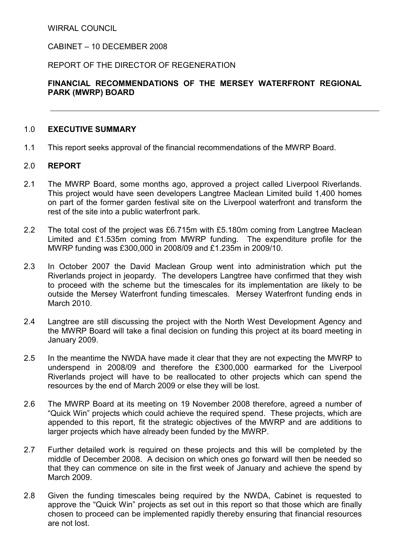WIRRAL COUNCIL

### CABINET – 10 DECEMBER 2008

### REPORT OF THE DIRECTOR OF REGENERATION

# FINANCIAL RECOMMENDATIONS OF THE MERSEY WATERFRONT REGIONAL PARK (MWRP) BOARD

#### 1.0 EXECUTIVE SUMMARY

1.1 This report seeks approval of the financial recommendations of the MWRP Board.

### 2.0 REPORT

- 2.1 The MWRP Board, some months ago, approved a project called Liverpool Riverlands. This project would have seen developers Langtree Maclean Limited build 1,400 homes on part of the former garden festival site on the Liverpool waterfront and transform the rest of the site into a public waterfront park.
- 2.2 The total cost of the project was £6.715m with £5.180m coming from Langtree Maclean Limited and £1.535m coming from MWRP funding. The expenditure profile for the MWRP funding was £300,000 in 2008/09 and £1.235m in 2009/10.
- 2.3 In October 2007 the David Maclean Group went into administration which put the Riverlands project in jeopardy. The developers Langtree have confirmed that they wish to proceed with the scheme but the timescales for its implementation are likely to be outside the Mersey Waterfront funding timescales. Mersey Waterfront funding ends in March 2010.
- 2.4 Langtree are still discussing the project with the North West Development Agency and the MWRP Board will take a final decision on funding this project at its board meeting in January 2009.
- 2.5 In the meantime the NWDA have made it clear that they are not expecting the MWRP to underspend in 2008/09 and therefore the £300,000 earmarked for the Liverpool Riverlands project will have to be reallocated to other projects which can spend the resources by the end of March 2009 or else they will be lost.
- 2.6 The MWRP Board at its meeting on 19 November 2008 therefore, agreed a number of "Quick Win" projects which could achieve the required spend. These projects, which are appended to this report, fit the strategic objectives of the MWRP and are additions to larger projects which have already been funded by the MWRP.
- 2.7 Further detailed work is required on these projects and this will be completed by the middle of December 2008. A decision on which ones go forward will then be needed so that they can commence on site in the first week of January and achieve the spend by March 2009.
- 2.8 Given the funding timescales being required by the NWDA, Cabinet is requested to approve the "Quick Win" projects as set out in this report so that those which are finally chosen to proceed can be implemented rapidly thereby ensuring that financial resources are not lost.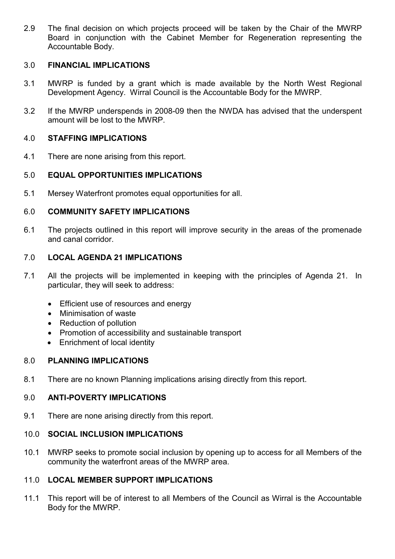2.9 The final decision on which projects proceed will be taken by the Chair of the MWRP Board in conjunction with the Cabinet Member for Regeneration representing the Accountable Body.

# 3.0 FINANCIAL IMPLICATIONS

- 3.1 MWRP is funded by a grant which is made available by the North West Regional Development Agency. Wirral Council is the Accountable Body for the MWRP.
- 3.2 If the MWRP underspends in 2008-09 then the NWDA has advised that the underspent amount will be lost to the MWRP.

## 4.0 STAFFING IMPLICATIONS

4.1 There are none arising from this report.

### 5.0 EQUAL OPPORTUNITIES IMPLICATIONS

5.1 Mersey Waterfront promotes equal opportunities for all.

## 6.0 COMMUNITY SAFETY IMPLICATIONS

6.1 The projects outlined in this report will improve security in the areas of the promenade and canal corridor.

## 7.0 LOCAL AGENDA 21 IMPLICATIONS

- 7.1 All the projects will be implemented in keeping with the principles of Agenda 21. In particular, they will seek to address:
	- Efficient use of resources and energy
	- Minimisation of waste
	- Reduction of pollution
	- Promotion of accessibility and sustainable transport
	- Enrichment of local identity

### 8.0 PLANNING IMPLICATIONS

8.1 There are no known Planning implications arising directly from this report.

# 9.0 ANTI-POVERTY IMPLICATIONS

9.1 There are none arising directly from this report.

#### 10.0 SOCIAL INCLUSION IMPLICATIONS

10.1 MWRP seeks to promote social inclusion by opening up to access for all Members of the community the waterfront areas of the MWRP area.

## 11.0 LOCAL MEMBER SUPPORT IMPLICATIONS

11.1 This report will be of interest to all Members of the Council as Wirral is the Accountable Body for the MWRP.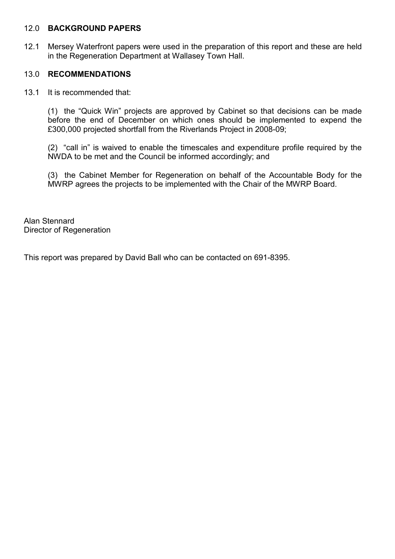#### 12.0 BACKGROUND PAPERS

12.1 Mersey Waterfront papers were used in the preparation of this report and these are held in the Regeneration Department at Wallasey Town Hall.

## 13.0 RECOMMENDATIONS

13.1 It is recommended that:

 (1) the "Quick Win" projects are approved by Cabinet so that decisions can be made before the end of December on which ones should be implemented to expend the £300,000 projected shortfall from the Riverlands Project in 2008-09;

 (2) "call in" is waived to enable the timescales and expenditure profile required by the NWDA to be met and the Council be informed accordingly; and

 (3) the Cabinet Member for Regeneration on behalf of the Accountable Body for the MWRP agrees the projects to be implemented with the Chair of the MWRP Board.

Alan Stennard Director of Regeneration

This report was prepared by David Ball who can be contacted on 691-8395.